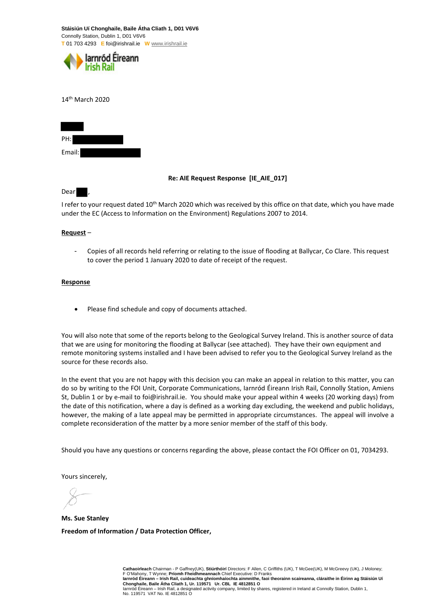**Stáisiún Uí Chonghaile, Baile Átha Cliath 1, D01 V6V6**  Connolly Station, Dublin 1, D01 V6V6 **T** 01 703 4293 **E** foi@irishrail.ie **W** www.irishrail.ie



14th March 2020

| PH:    |  |
|--------|--|
| Email: |  |

### **Re: AIE Request Response [IE\_AIE\_017]**

Dear ,

I refer to your request dated 10<sup>th</sup> March 2020 which was received by this office on that date, which you have made under the EC (Access to Information on the Environment) Regulations 2007 to 2014.

## **Request** –

Copies of all records held referring or relating to the issue of flooding at Ballycar, Co Clare. This request to cover the period 1 January 2020 to date of receipt of the request.

### **Response**

Please find schedule and copy of documents attached.

You will also note that some of the reports belong to the Geological Survey Ireland. This is another source of data that we are using for monitoring the flooding at Ballycar (see attached). They have their own equipment and remote monitoring systems installed and I have been advised to refer you to the Geological Survey Ireland as the source for these records also.

In the event that you are not happy with this decision you can make an appeal in relation to this matter, you can do so by writing to the FOI Unit, Corporate Communications, Iarnród Éireann Irish Rail, Connolly Station, Amiens St, Dublin 1 or by e-mail to foi@irishrail.ie. You should make your appeal within 4 weeks (20 working days) from the date of this notification, where a day is defined as a working day excluding, the weekend and public holidays, however, the making of a late appeal may be permitted in appropriate circumstances. The appeal will involve a complete reconsideration of the matter by a more senior member of the staff of this body.

Should you have any questions or concerns regarding the above, please contact the FOI Officer on 01, 7034293.

Yours sincerely,

**Ms. Sue Stanley Freedom of Information / Data Protection Officer,** 

Cathaoirleach Chairman - P Gaffney(UK), Stiúrthóirí Directors: F Allen, C Griffiths (UK), T McGee(UK), M McGreevy (UK), J Moloney;<br>F O'Mahony, T Wynne; Prío**mh Fheidhmeannach** Chief Executive: D Franks<br>Iarnród Éireann – I Iarnród Éireann – Irish Rail, a designated activity company, limited by shares, registered in Ireland at Connolly Station, Dublin 1, No. 119571 VAT No. IE 4812851 O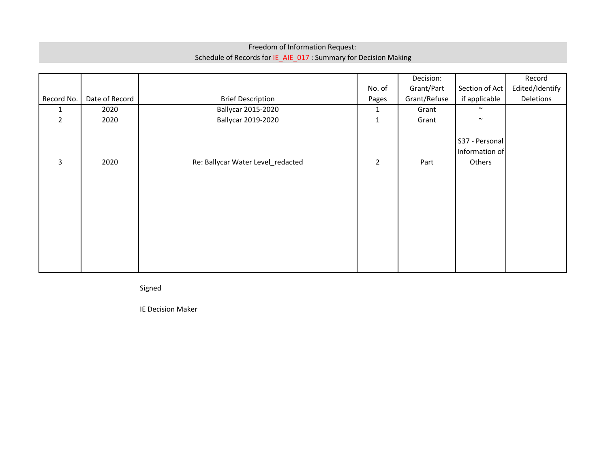# Freedom of Information Request: Schedule of Records for IE\_AIE\_017 : Summary for Decision Making

|                |                |                                   |                | Decision:    |                                            | Record          |
|----------------|----------------|-----------------------------------|----------------|--------------|--------------------------------------------|-----------------|
|                |                |                                   | No. of         | Grant/Part   | Section of Act                             | Edited/Identify |
| Record No.     | Date of Record | <b>Brief Description</b>          | Pages          | Grant/Refuse | if applicable                              | Deletions       |
| 1              | 2020           | Ballycar 2015-2020                | 1              | Grant        | $\sim$                                     |                 |
| $\overline{2}$ | 2020           | Ballycar 2019-2020                | $\mathbf{1}$   | Grant        | $\sim$                                     |                 |
| 3              | 2020           | Re: Ballycar Water Level_redacted | $\overline{2}$ | Part         | S37 - Personal<br>Information of<br>Others |                 |

Signed

IE Decision Maker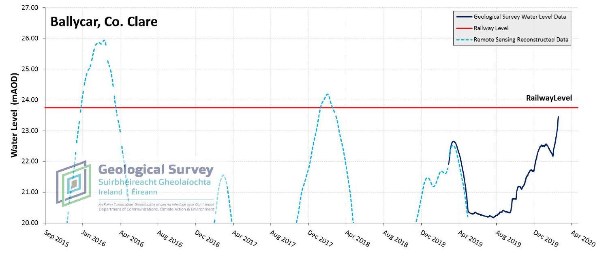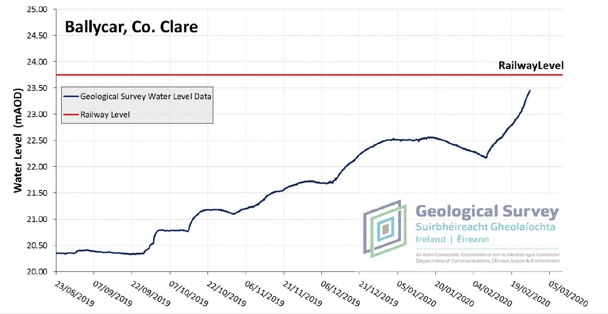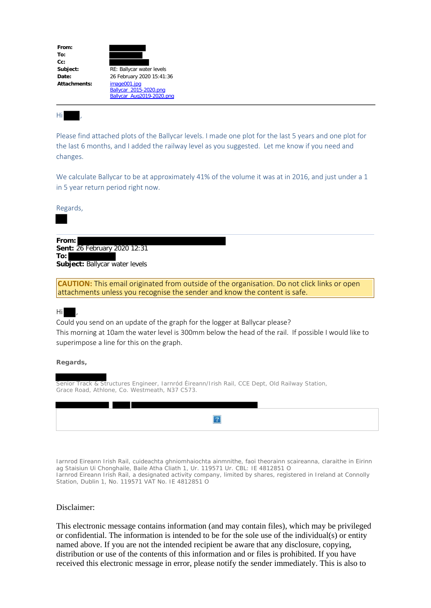| From:        |                           |
|--------------|---------------------------|
|              |                           |
| To:          |                           |
| $Cc$ :       |                           |
| Subject:     | RE: Ballycar water levels |
| Date:        | 26 February 2020 15:41:36 |
| Attachments: | image001.jpg              |
|              | Ballycar 2015-2020.png    |
|              | Ballycar Aug2019-2020.png |

Hi ,

Please find attached plots of the Ballycar levels. I made one plot for the last 5 years and one plot for the last 6 months, and I added the railway level as you suggested. Let me know if you need and changes.

We calculate Ballycar to be at approximately 41% of the volume it was at in 2016, and just under a 1 in 5 year return period right now.

Regards,

**From: Sent:** 26 February 2020 12:31 **To: Subject:** Ballycar water levels

**CAUTION:** This email originated from outside of the organisation. Do not click links or open attachments unless you recognise the sender and know the content is safe.

## Hi ,

Could you send on an update of the graph for the logger at Ballycar please? This morning at 10am the water level is 300mm below the head of the rail. If possible I would like to superimpose a line for this on the graph.

## **Regards,**

Senior Track & Structures Engineer, Iarnród Éireann/Irish Rail, CCE Dept, Old Railway Station, Grace Road, Athlone, Co. Westmeath, N37 C573.

Iarnrod Eireann Irish Rail, cuideachta ghniomhaiochta ainmnithe, faoi theorainn scaireanna, claraithe in Eirinn ag Staisiun Ui Chonghaile, Baile Atha Cliath 1, Ur. 119571 Ur. CBL: IE 4812851 O Iarnrod Eireann Irish Rail, a designated activity company, limited by shares, registered in Ireland at Connolly Station, Dublin 1, No. 119571 VAT No. IE 4812851 O

## Disclaimer:

This electronic message contains information (and may contain files), which may be privileged or confidential. The information is intended to be for the sole use of the individual(s) or entity named above. If you are not the intended recipient be aware that any disclosure, copying, distribution or use of the contents of this information and or files is prohibited. If you have received this electronic message in error, please notify the sender immediately. This is also to